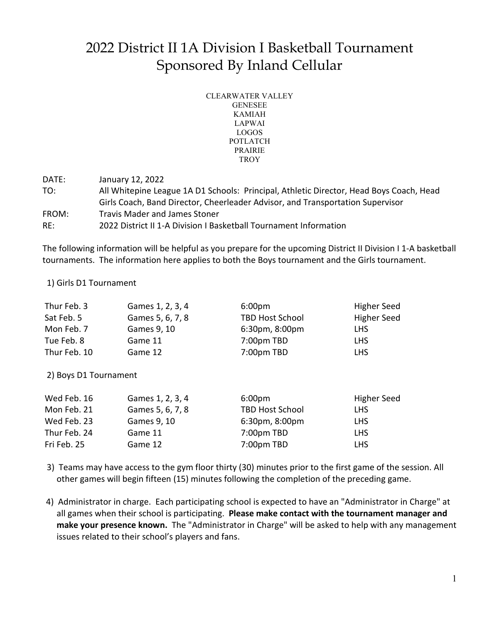## 2022 District II 1A Division I Basketball Tournament Sponsored By Inland Cellular

| CLEARWATER VALLEY |
|-------------------|
| <b>GENESEE</b>    |
| <b>KAMIAH</b>     |
| <b>LAPWAI</b>     |
| LOGOS             |
| POTLATCH          |
| <b>PRAIRIE</b>    |
| TROY              |
|                   |

DATE: January 12, 2022 TO: All Whitepine League 1A D1 Schools: Principal, Athletic Director, Head Boys Coach, Head Girls Coach, Band Director, Cheerleader Advisor, and Transportation Supervisor FROM: Travis Mader and James Stoner RE: 2022 District II 1-A Division I Basketball Tournament Information

The following information will be helpful as you prepare for the upcoming District II Division I 1-A basketball tournaments. The information here applies to both the Boys tournament and the Girls tournament.

### 1) Girls D1 Tournament

| Thur Feb. 3  | Games 1, 2, 3, 4 | 6:00 <sub>pm</sub>                      | Higher Seed |
|--------------|------------------|-----------------------------------------|-------------|
| Sat Feb. 5   | Games 5, 6, 7, 8 | <b>TBD Host School</b>                  | Higher Seed |
| Mon Feb. 7   | Games 9, 10      | 6:30 <sub>pm</sub> , 8:00 <sub>pm</sub> | <b>LHS</b>  |
| Tue Feb. 8   | Game 11          | 7:00pm TBD                              | <b>LHS</b>  |
| Thur Feb. 10 | Game 12          | 7:00pm TBD                              | <b>LHS</b>  |

2) Boys D1 Tournament

| Wed Feb. 16  | Games 1, 2, 3, 4 | 6:00 <sub>pm</sub>                      | <b>Higher Seed</b> |
|--------------|------------------|-----------------------------------------|--------------------|
| Mon Feb. 21  | Games 5, 6, 7, 8 | <b>TBD Host School</b>                  | <b>LHS</b>         |
| Wed Feb. 23  | Games 9, 10      | 6:30 <sub>pm</sub> , 8:00 <sub>pm</sub> | <b>LHS</b>         |
| Thur Feb. 24 | Game 11          | 7:00pm TBD                              | <b>LHS</b>         |
| Fri Feb. 25  | Game 12          | 7:00pm TBD                              | <b>LHS</b>         |

- 3) Teams may have access to the gym floor thirty (30) minutes prior to the first game of the session. All other games will begin fifteen (15) minutes following the completion of the preceding game.
- 4) Administrator in charge. Each participating school is expected to have an "Administrator in Charge" at all games when their school is participating. **Please make contact with the tournament manager and make your presence known.** The "Administrator in Charge" will be asked to help with any management issues related to their school's players and fans.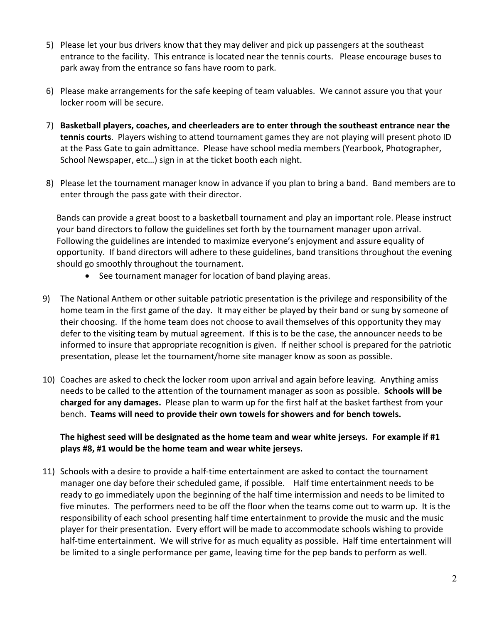- 5) Please let your bus drivers know that they may deliver and pick up passengers at the southeast entrance to the facility. This entrance is located near the tennis courts. Please encourage buses to park away from the entrance so fans have room to park.
- 6) Please make arrangements for the safe keeping of team valuables. We cannot assure you that your locker room will be secure.
- 7) **Basketball players, coaches, and cheerleaders are to enter through the southeast entrance near the tennis courts**. Players wishing to attend tournament games they are not playing will present photo ID at the Pass Gate to gain admittance. Please have school media members (Yearbook, Photographer, School Newspaper, etc…) sign in at the ticket booth each night.
- 8) Please let the tournament manager know in advance if you plan to bring a band. Band members are to enter through the pass gate with their director.

Bands can provide a great boost to a basketball tournament and play an important role. Please instruct your band directors to follow the guidelines set forth by the tournament manager upon arrival. Following the guidelines are intended to maximize everyone's enjoyment and assure equality of opportunity. If band directors will adhere to these guidelines, band transitions throughout the evening should go smoothly throughout the tournament.

- See tournament manager for location of band playing areas.
- 9) The National Anthem or other suitable patriotic presentation is the privilege and responsibility of the home team in the first game of the day. It may either be played by their band or sung by someone of their choosing. If the home team does not choose to avail themselves of this opportunity they may defer to the visiting team by mutual agreement. If this is to be the case, the announcer needs to be informed to insure that appropriate recognition is given. If neither school is prepared for the patriotic presentation, please let the tournament/home site manager know as soon as possible.
- 10) Coaches are asked to check the locker room upon arrival and again before leaving. Anything amiss needs to be called to the attention of the tournament manager as soon as possible. **Schools will be charged for any damages.** Please plan to warm up for the first half at the basket farthest from your bench. **Teams will need to provide their own towels for showers and for bench towels.**

### **The highest seed will be designated as the home team and wear white jerseys. For example if #1 plays #8, #1 would be the home team and wear white jerseys.**

11) Schools with a desire to provide a half-time entertainment are asked to contact the tournament manager one day before their scheduled game, if possible. Half time entertainment needs to be ready to go immediately upon the beginning of the half time intermission and needs to be limited to five minutes. The performers need to be off the floor when the teams come out to warm up. It is the responsibility of each school presenting half time entertainment to provide the music and the music player for their presentation. Every effort will be made to accommodate schools wishing to provide half-time entertainment. We will strive for as much equality as possible. Half time entertainment will be limited to a single performance per game, leaving time for the pep bands to perform as well.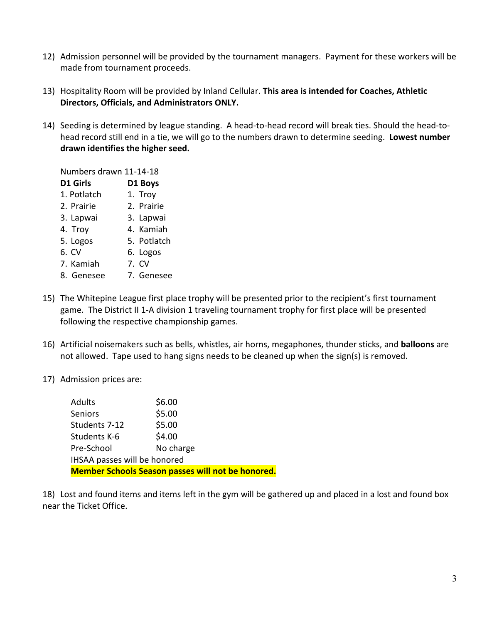- 12) Admission personnel will be provided by the tournament managers. Payment for these workers will be made from tournament proceeds.
- 13) Hospitality Room will be provided by Inland Cellular. **This area is intended for Coaches, Athletic Directors, Officials, and Administrators ONLY.**
- 14) Seeding is determined by league standing. A head-to-head record will break ties. Should the head-tohead record still end in a tie, we will go to the numbers drawn to determine seeding. **Lowest number drawn identifies the higher seed.**

Numbers drawn 11-14-18 **D1 Girls D1 Boys** 1. Potlatch 1. Troy 2. Prairie 2. Prairie 3. Lapwai 3. Lapwai 4. Troy 4. Kamiah 5. Logos 5. Potlatch 6. CV 6. Logos 7. Kamiah 7. CV

- 8. Genesee 7. Genesee
- 15) The Whitepine League first place trophy will be presented prior to the recipient's first tournament game. The District II 1-A division 1 traveling tournament trophy for first place will be presented following the respective championship games.
- 16) Artificial noisemakers such as bells, whistles, air horns, megaphones, thunder sticks, and **balloons** are not allowed. Tape used to hang signs needs to be cleaned up when the sign(s) is removed.
- 17) Admission prices are:

| <b>Member Schools Season passes will not be honored.</b> |           |  |  |  |
|----------------------------------------------------------|-----------|--|--|--|
| IHSAA passes will be honored                             |           |  |  |  |
| Pre-School                                               | No charge |  |  |  |
| Students K-6                                             | \$4.00    |  |  |  |
| Students 7-12                                            | \$5.00    |  |  |  |
| <b>Seniors</b>                                           | \$5.00    |  |  |  |
| <b>Adults</b>                                            | \$6.00    |  |  |  |

18) Lost and found items and items left in the gym will be gathered up and placed in a lost and found box near the Ticket Office.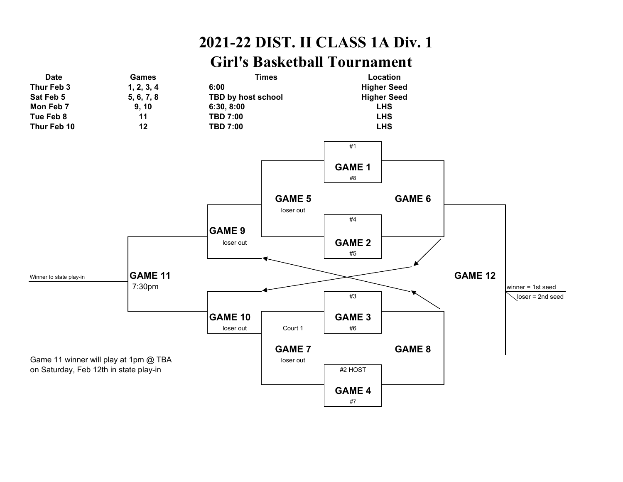# **2021-22 DIST. II CLASS 1A Div. 1**

### **Girl's Basketball Tournament**